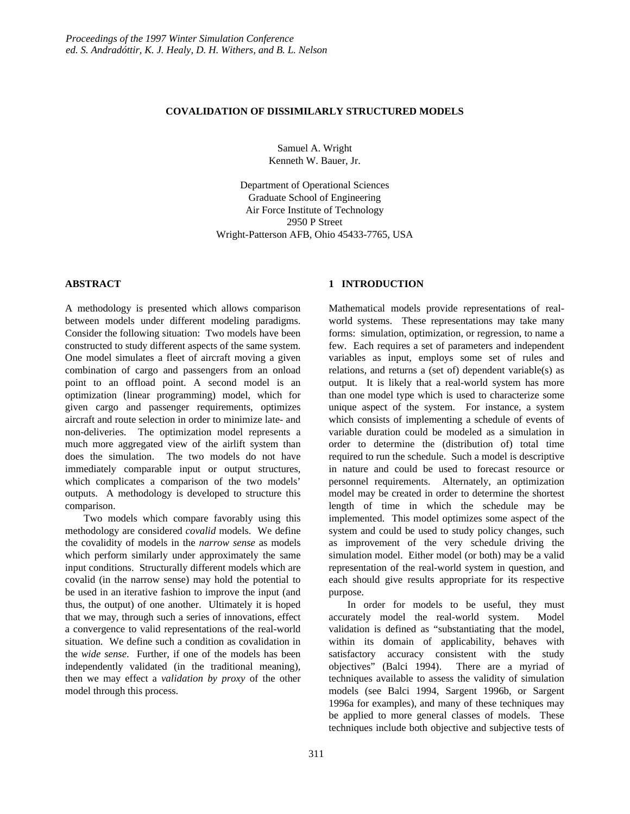#### **COVALIDATION OF DISSIMILARLY STRUCTURED MODELS**

Samuel A. Wright Kenneth W. Bauer, Jr.

Department of Operational Sciences Graduate School of Engineering Air Force Institute of Technology 2950 P Street Wright-Patterson AFB, Ohio 45433-7765, USA

## **ABSTRACT**

A methodology is presented which allows comparison between models under different modeling paradigms. Consider the following situation: Two models have been constructed to study different aspects of the same system. One model simulates a fleet of aircraft moving a given combination of cargo and passengers from an onload point to an offload point. A second model is an optimization (linear programming) model, which for given cargo and passenger requirements, optimizes aircraft and route selection in order to minimize late- and non-deliveries. The optimization model represents a much more aggregated view of the airlift system than does the simulation. The two models do not have immediately comparable input or output structures, which complicates a comparison of the two models' outputs. A methodology is developed to structure this comparison.

Two models which compare favorably using this methodology are considered *covalid* models. We define the covalidity of models in the *narrow sense* as models which perform similarly under approximately the same input conditions. Structurally different models which are covalid (in the narrow sense) may hold the potential to be used in an iterative fashion to improve the input (and thus, the output) of one another. Ultimately it is hoped that we may, through such a series of innovations, effect a convergence to valid representations of the real-world situation. We define such a condition as covalidation in the *wide sense*. Further, if one of the models has been independently validated (in the traditional meaning), then we may effect a *validation by proxy* of the other model through this process.

## **1 INTRODUCTION**

Mathematical models provide representations of realworld systems. These representations may take many forms: simulation, optimization, or regression, to name a few. Each requires a set of parameters and independent variables as input, employs some set of rules and relations, and returns a (set of) dependent variable(s) as output. It is likely that a real-world system has more than one model type which is used to characterize some unique aspect of the system. For instance, a system which consists of implementing a schedule of events of variable duration could be modeled as a simulation in order to determine the (distribution of) total time required to run the schedule. Such a model is descriptive in nature and could be used to forecast resource or personnel requirements. Alternately, an optimization model may be created in order to determine the shortest length of time in which the schedule may be implemented. This model optimizes some aspect of the system and could be used to study policy changes, such as improvement of the very schedule driving the simulation model. Either model (or both) may be a valid representation of the real-world system in question, and each should give results appropriate for its respective purpose.

In order for models to be useful, they must accurately model the real-world system. Model validation is defined as "substantiating that the model, within its domain of applicability, behaves with satisfactory accuracy consistent with the study objectives" (Balci 1994). There are a myriad of techniques available to assess the validity of simulation models (see Balci 1994, Sargent 1996b, or Sargent 1996a for examples), and many of these techniques may be applied to more general classes of models. These techniques include both objective and subjective tests of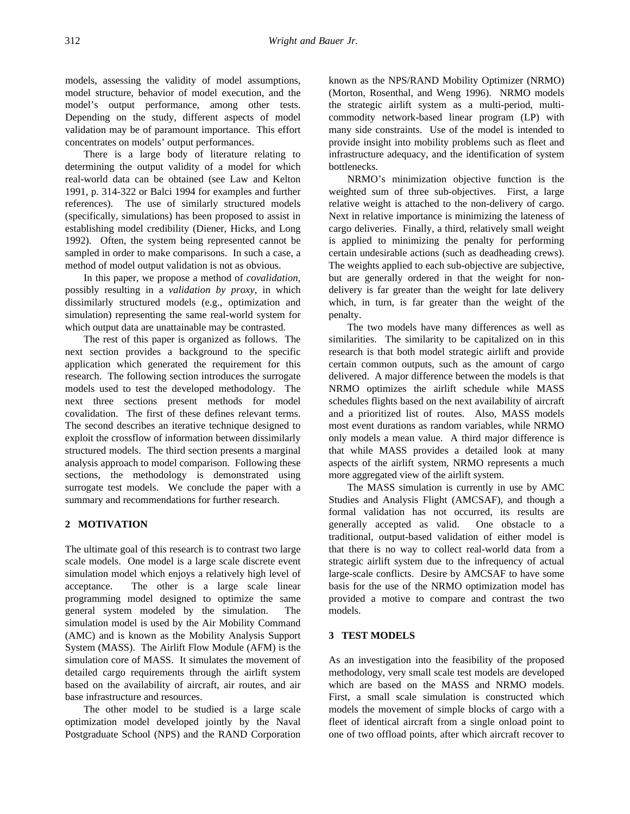models, assessing the validity of model assumptions, model structure, behavior of model execution, and the model's output performance, among other tests. Depending on the study, different aspects of model validation may be of paramount importance. This effort concentrates on models' output performances.

There is a large body of literature relating to determining the output validity of a model for which real-world data can be obtained (see Law and Kelton 1991, p. 314-322 or Balci 1994 for examples and further references). The use of similarly structured models (specifically, simulations) has been proposed to assist in establishing model credibility (Diener, Hicks, and Long 1992). Often, the system being represented cannot be sampled in order to make comparisons. In such a case, a method of model output validation is not as obvious.

In this paper, we propose a method of *covalidation*, possibly resulting in a *validation by proxy*, in which dissimilarly structured models (e.g., optimization and simulation) representing the same real-world system for which output data are unattainable may be contrasted.

The rest of this paper is organized as follows. The next section provides a background to the specific application which generated the requirement for this research. The following section introduces the surrogate models used to test the developed methodology. The next three sections present methods for model covalidation. The first of these defines relevant terms. The second describes an iterative technique designed to exploit the crossflow of information between dissimilarly structured models. The third section presents a marginal analysis approach to model comparison. Following these sections, the methodology is demonstrated using surrogate test models. We conclude the paper with a summary and recommendations for further research.

# **2 MOTIVATION**

The ultimate goal of this research is to contrast two large scale models. One model is a large scale discrete event simulation model which enjoys a relatively high level of acceptance. The other is a large scale linear programming model designed to optimize the same general system modeled by the simulation. The simulation model is used by the Air Mobility Command (AMC) and is known as the Mobility Analysis Support System (MASS). The Airlift Flow Module (AFM) is the simulation core of MASS. It simulates the movement of detailed cargo requirements through the airlift system based on the availability of aircraft, air routes, and air base infrastructure and resources.

The other model to be studied is a large scale optimization model developed jointly by the Naval Postgraduate School (NPS) and the RAND Corporation known as the NPS/RAND Mobility Optimizer (NRMO) (Morton, Rosenthal, and Weng 1996). NRMO models the strategic airlift system as a multi-period, multicommodity network-based linear program (LP) with many side constraints. Use of the model is intended to provide insight into mobility problems such as fleet and infrastructure adequacy, and the identification of system bottlenecks.

NRMO's minimization objective function is the weighted sum of three sub-objectives. First, a large relative weight is attached to the non-delivery of cargo. Next in relative importance is minimizing the lateness of cargo deliveries. Finally, a third, relatively small weight is applied to minimizing the penalty for performing certain undesirable actions (such as deadheading crews). The weights applied to each sub-objective are subjective, but are generally ordered in that the weight for nondelivery is far greater than the weight for late delivery which, in turn, is far greater than the weight of the penalty.

The two models have many differences as well as similarities. The similarity to be capitalized on in this research is that both model strategic airlift and provide certain common outputs, such as the amount of cargo delivered. A major difference between the models is that NRMO optimizes the airlift schedule while MASS schedules flights based on the next availability of aircraft and a prioritized list of routes. Also, MASS models most event durations as random variables, while NRMO only models a mean value. A third major difference is that while MASS provides a detailed look at many aspects of the airlift system, NRMO represents a much more aggregated view of the airlift system.

The MASS simulation is currently in use by AMC Studies and Analysis Flight (AMCSAF), and though a formal validation has not occurred, its results are generally accepted as valid. One obstacle to a traditional, output-based validation of either model is that there is no way to collect real-world data from a strategic airlift system due to the infrequency of actual large-scale conflicts. Desire by AMCSAF to have some basis for the use of the NRMO optimization model has provided a motive to compare and contrast the two models.

# **3 TEST MODELS**

As an investigation into the feasibility of the proposed methodology, very small scale test models are developed which are based on the MASS and NRMO models. First, a small scale simulation is constructed which models the movement of simple blocks of cargo with a fleet of identical aircraft from a single onload point to one of two offload points, after which aircraft recover to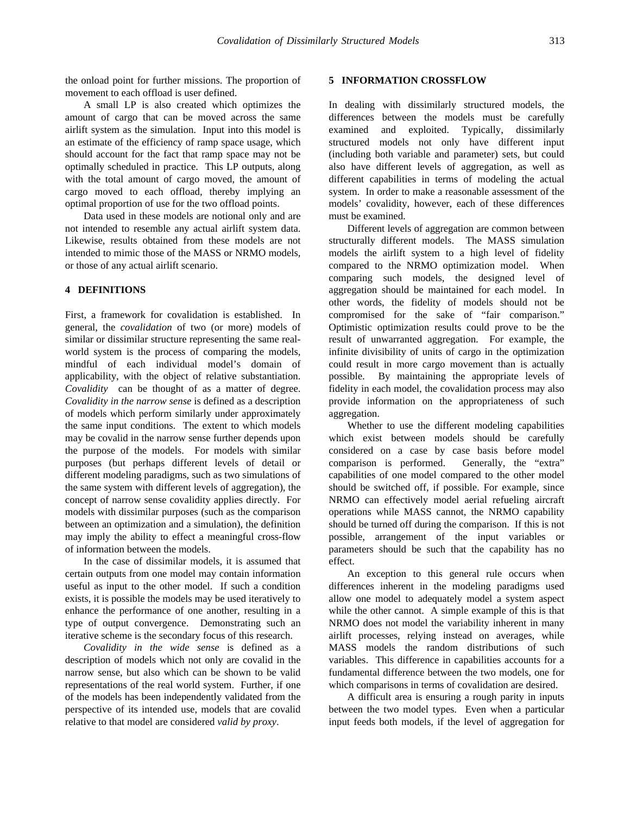the onload point for further missions. The proportion of movement to each offload is user defined.

A small LP is also created which optimizes the amount of cargo that can be moved across the same airlift system as the simulation. Input into this model is an estimate of the efficiency of ramp space usage, which should account for the fact that ramp space may not be optimally scheduled in practice. This LP outputs, along with the total amount of cargo moved, the amount of cargo moved to each offload, thereby implying an optimal proportion of use for the two offload points.

Data used in these models are notional only and are not intended to resemble any actual airlift system data. Likewise, results obtained from these models are not intended to mimic those of the MASS or NRMO models, or those of any actual airlift scenario.

#### **4 DEFINITIONS**

First, a framework for covalidation is established. In general, the *covalidation* of two (or more) models of similar or dissimilar structure representing the same realworld system is the process of comparing the models, mindful of each individual model's domain of applicability, with the object of relative substantiation. *Covalidity* can be thought of as a matter of degree. *Covalidity in the narrow sense* is defined as a description of models which perform similarly under approximately the same input conditions. The extent to which models may be covalid in the narrow sense further depends upon the purpose of the models. For models with similar purposes (but perhaps different levels of detail or different modeling paradigms, such as two simulations of the same system with different levels of aggregation), the concept of narrow sense covalidity applies directly. For models with dissimilar purposes (such as the comparison between an optimization and a simulation), the definition may imply the ability to effect a meaningful cross-flow of information between the models.

In the case of dissimilar models, it is assumed that certain outputs from one model may contain information useful as input to the other model. If such a condition exists, it is possible the models may be used iteratively to enhance the performance of one another, resulting in a type of output convergence. Demonstrating such an iterative scheme is the secondary focus of this research.

*Covalidity in the wide sense* is defined as a description of models which not only are covalid in the narrow sense, but also which can be shown to be valid representations of the real world system. Further, if one of the models has been independently validated from the perspective of its intended use, models that are covalid relative to that model are considered *valid by proxy*.

## **5 INFORMATION CROSSFLOW**

In dealing with dissimilarly structured models, the differences between the models must be carefully examined and exploited. Typically, dissimilarly structured models not only have different input (including both variable and parameter) sets, but could also have different levels of aggregation, as well as different capabilities in terms of modeling the actual system. In order to make a reasonable assessment of the models' covalidity, however, each of these differences must be examined.

Different levels of aggregation are common between structurally different models. The MASS simulation models the airlift system to a high level of fidelity compared to the NRMO optimization model. When comparing such models, the designed level of aggregation should be maintained for each model. In other words, the fidelity of models should not be compromised for the sake of "fair comparison." Optimistic optimization results could prove to be the result of unwarranted aggregation. For example, the infinite divisibility of units of cargo in the optimization could result in more cargo movement than is actually possible. By maintaining the appropriate levels of fidelity in each model, the covalidation process may also provide information on the appropriateness of such aggregation.

Whether to use the different modeling capabilities which exist between models should be carefully considered on a case by case basis before model comparison is performed. Generally, the "extra" capabilities of one model compared to the other model should be switched off, if possible. For example, since NRMO can effectively model aerial refueling aircraft operations while MASS cannot, the NRMO capability should be turned off during the comparison. If this is not possible, arrangement of the input variables or parameters should be such that the capability has no effect.

An exception to this general rule occurs when differences inherent in the modeling paradigms used allow one model to adequately model a system aspect while the other cannot. A simple example of this is that NRMO does not model the variability inherent in many airlift processes, relying instead on averages, while MASS models the random distributions of such variables. This difference in capabilities accounts for a fundamental difference between the two models, one for which comparisons in terms of covalidation are desired.

A difficult area is ensuring a rough parity in inputs between the two model types. Even when a particular input feeds both models, if the level of aggregation for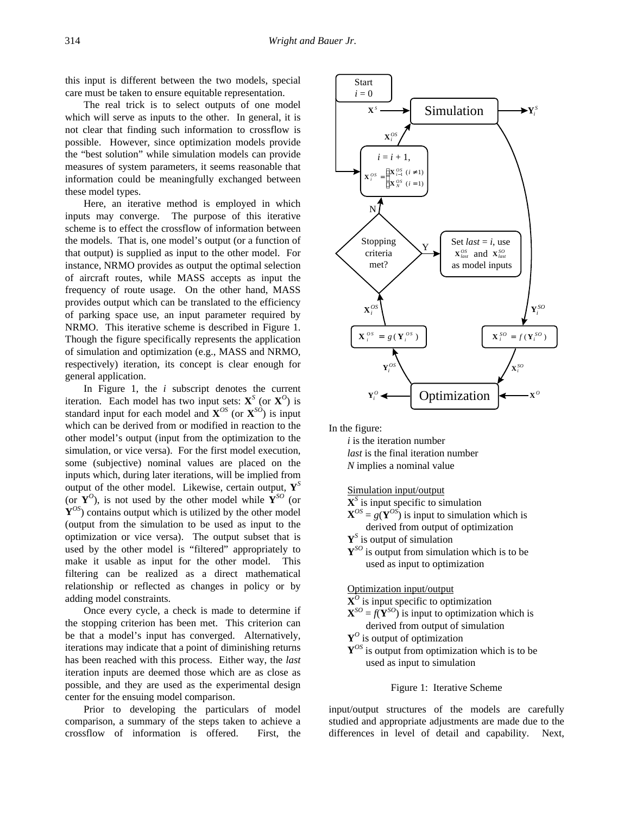this input is different between the two models, special care must be taken to ensure equitable representation.

The real trick is to select outputs of one model which will serve as inputs to the other. In general, it is not clear that finding such information to crossflow is possible. However, since optimization models provide the "best solution" while simulation models can provide measures of system parameters, it seems reasonable that information could be meaningfully exchanged between these model types.

Here, an iterative method is employed in which inputs may converge. The purpose of this iterative scheme is to effect the crossflow of information between the models. That is, one model's output (or a function of that output) is supplied as input to the other model. For instance, NRMO provides as output the optimal selection of aircraft routes, while MASS accepts as input the frequency of route usage. On the other hand, MASS provides output which can be translated to the efficiency of parking space use, an input parameter required by NRMO. This iterative scheme is described in Figure 1. Though the figure specifically represents the application of simulation and optimization (e.g., MASS and NRMO, respectively) iteration, its concept is clear enough for general application.

In Figure 1, the *i* subscript denotes the current iteration. Each model has two input sets:  $X^S$  (or  $X^O$ ) is standard input for each model and  $\mathbf{X}^{OS}$  (or  $\mathbf{X}^{SO}$ ) is input which can be derived from or modified in reaction to the other model's output (input from the optimization to the simulation, or vice versa). For the first model execution, some (subjective) nominal values are placed on the inputs which, during later iterations, will be implied from output of the other model. Likewise, certain output, **Y***<sup>S</sup>* (or  $Y^O$ ), is not used by the other model while  $Y^{SO}$  (or **Y***OS*) contains output which is utilized by the other model (output from the simulation to be used as input to the optimization or vice versa). The output subset that is used by the other model is "filtered" appropriately to make it usable as input for the other model. This filtering can be realized as a direct mathematical relationship or reflected as changes in policy or by adding model constraints.

Once every cycle, a check is made to determine if the stopping criterion has been met. This criterion can be that a model's input has converged. Alternatively, iterations may indicate that a point of diminishing returns has been reached with this process. Either way, the *last* iteration inputs are deemed those which are as close as possible, and they are used as the experimental design center for the ensuing model comparison.

Prior to developing the particulars of model comparison, a summary of the steps taken to achieve a crossflow of information is offered. First, the



In the figure:

*i* is the iteration number *last* is the final iteration number *N* implies a nominal value

Simulation input/output

**X***S* is input specific to simulation

 $X^{OS} = g(Y^{OS})$  is input to simulation which is derived from output of optimization

**Y***S* is output of simulation

 ${\bf Y}^{SO}$  is output from simulation which is to be used as input to optimization

Optimization input/output

**X***<sup>O</sup>* is input specific to optimization

 $X^{SO} = f(Y^{SO})$  is input to optimization which is derived from output of simulation

**Y***<sup>O</sup>* is output of optimization

**Y***OS* is output from optimization which is to be used as input to simulation

#### Figure 1: Iterative Scheme

input/output structures of the models are carefully studied and appropriate adjustments are made due to the differences in level of detail and capability. Next,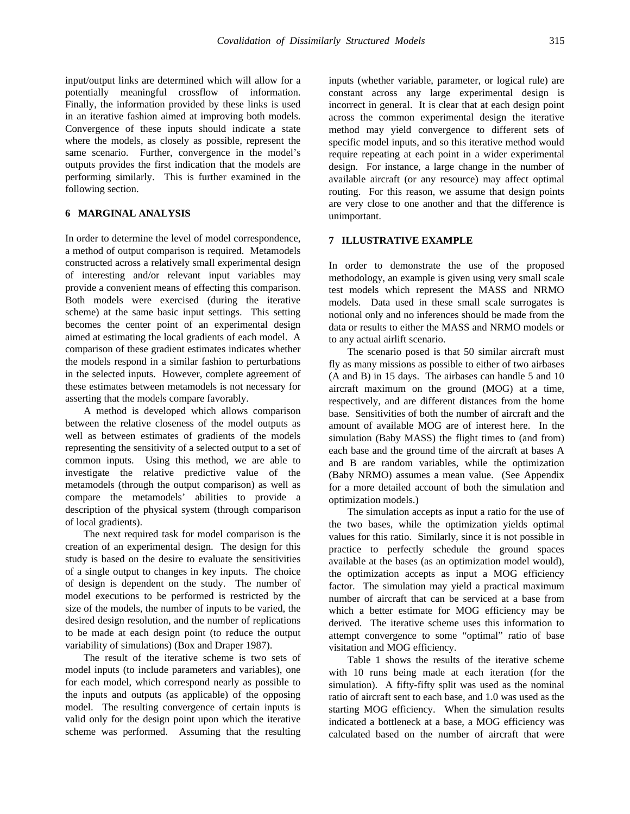input/output links are determined which will allow for a potentially meaningful crossflow of information. Finally, the information provided by these links is used in an iterative fashion aimed at improving both models. Convergence of these inputs should indicate a state where the models, as closely as possible, represent the same scenario. Further, convergence in the model's outputs provides the first indication that the models are performing similarly. This is further examined in the following section.

# **6 MARGINAL ANALYSIS**

In order to determine the level of model correspondence, a method of output comparison is required. Metamodels constructed across a relatively small experimental design of interesting and/or relevant input variables may provide a convenient means of effecting this comparison. Both models were exercised (during the iterative scheme) at the same basic input settings. This setting becomes the center point of an experimental design aimed at estimating the local gradients of each model. A comparison of these gradient estimates indicates whether the models respond in a similar fashion to perturbations in the selected inputs. However, complete agreement of these estimates between metamodels is not necessary for asserting that the models compare favorably.

A method is developed which allows comparison between the relative closeness of the model outputs as well as between estimates of gradients of the models representing the sensitivity of a selected output to a set of common inputs. Using this method, we are able to investigate the relative predictive value of the metamodels (through the output comparison) as well as compare the metamodels' abilities to provide a description of the physical system (through comparison of local gradients).

The next required task for model comparison is the creation of an experimental design. The design for this study is based on the desire to evaluate the sensitivities of a single output to changes in key inputs. The choice of design is dependent on the study. The number of model executions to be performed is restricted by the size of the models, the number of inputs to be varied, the desired design resolution, and the number of replications to be made at each design point (to reduce the output variability of simulations) (Box and Draper 1987).

The result of the iterative scheme is two sets of model inputs (to include parameters and variables), one for each model, which correspond nearly as possible to the inputs and outputs (as applicable) of the opposing model. The resulting convergence of certain inputs is valid only for the design point upon which the iterative scheme was performed. Assuming that the resulting inputs (whether variable, parameter, or logical rule) are constant across any large experimental design is incorrect in general. It is clear that at each design point across the common experimental design the iterative method may yield convergence to different sets of specific model inputs, and so this iterative method would require repeating at each point in a wider experimental design. For instance, a large change in the number of available aircraft (or any resource) may affect optimal routing. For this reason, we assume that design points are very close to one another and that the difference is unimportant.

## **7 ILLUSTRATIVE EXAMPLE**

In order to demonstrate the use of the proposed methodology, an example is given using very small scale test models which represent the MASS and NRMO models. Data used in these small scale surrogates is notional only and no inferences should be made from the data or results to either the MASS and NRMO models or to any actual airlift scenario.

The scenario posed is that 50 similar aircraft must fly as many missions as possible to either of two airbases (A and B) in 15 days. The airbases can handle 5 and 10 aircraft maximum on the ground (MOG) at a time, respectively, and are different distances from the home base. Sensitivities of both the number of aircraft and the amount of available MOG are of interest here. In the simulation (Baby MASS) the flight times to (and from) each base and the ground time of the aircraft at bases A and B are random variables, while the optimization (Baby NRMO) assumes a mean value. (See Appendix for a more detailed account of both the simulation and optimization models.)

The simulation accepts as input a ratio for the use of the two bases, while the optimization yields optimal values for this ratio. Similarly, since it is not possible in practice to perfectly schedule the ground spaces available at the bases (as an optimization model would), the optimization accepts as input a MOG efficiency factor. The simulation may yield a practical maximum number of aircraft that can be serviced at a base from which a better estimate for MOG efficiency may be derived. The iterative scheme uses this information to attempt convergence to some "optimal" ratio of base visitation and MOG efficiency.

Table 1 shows the results of the iterative scheme with 10 runs being made at each iteration (for the simulation). A fifty-fifty split was used as the nominal ratio of aircraft sent to each base, and 1.0 was used as the starting MOG efficiency. When the simulation results indicated a bottleneck at a base, a MOG efficiency was calculated based on the number of aircraft that were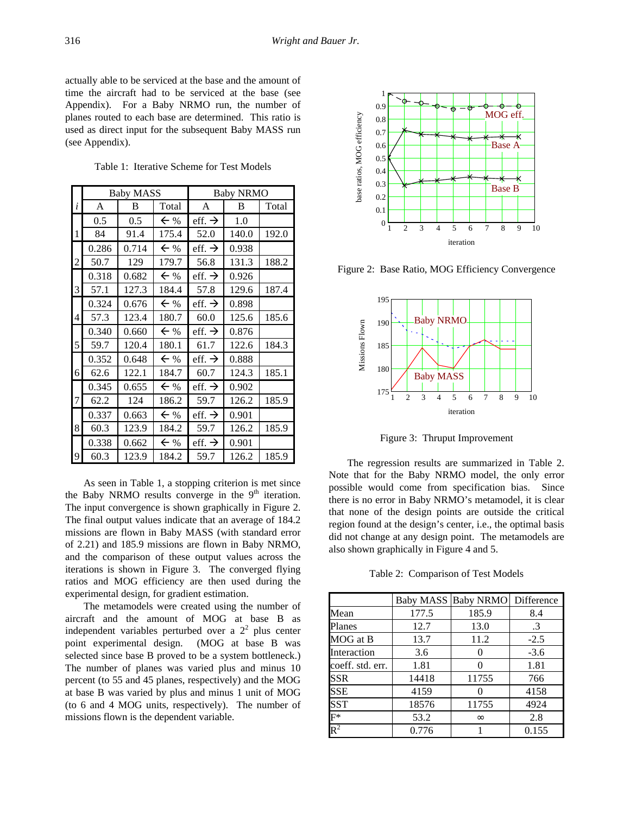actually able to be serviced at the base and the amount of time the aircraft had to be serviced at the base (see Appendix). For a Baby NRMO run, the number of planes routed to each base are determined. This ratio is used as direct input for the subsequent Baby MASS run (see Appendix).

Table 1: Iterative Scheme for Test Models

|   |       | <b>Baby MASS</b><br><b>Baby NRMO</b> |                |                    |       |       |
|---|-------|--------------------------------------|----------------|--------------------|-------|-------|
| i | A     | B                                    | Total          | A                  | В     | Total |
|   | 0.5   | 0.5                                  | $\leftarrow$ % | eff. $\rightarrow$ | 1.0   |       |
| 1 | 84    | 91.4                                 | 175.4          | 52.0               | 140.0 | 192.0 |
|   | 0.286 | 0.714                                | $\leftarrow$ % | eff. $\rightarrow$ | 0.938 |       |
| 2 | 50.7  | 129                                  | 179.7          | 56.8               | 131.3 | 188.2 |
|   | 0.318 | 0.682                                | $\leftarrow$ % | eff. $\rightarrow$ | 0.926 |       |
| 3 | 57.1  | 127.3                                | 184.4          | 57.8               | 129.6 | 187.4 |
|   | 0.324 | 0.676                                | $\leftarrow$ % | eff. $\rightarrow$ | 0.898 |       |
| 4 | 57.3  | 123.4                                | 180.7          | 60.0               | 125.6 | 185.6 |
|   | 0.340 | 0.660                                | $\leftarrow$ % | eff. $\rightarrow$ | 0.876 |       |
| 5 | 59.7  | 120.4                                | 180.1          | 61.7               | 122.6 | 184.3 |
|   | 0.352 | 0.648                                | $\leftarrow$ % | eff. $\rightarrow$ | 0.888 |       |
| 6 | 62.6  | 122.1                                | 184.7          | 60.7               | 124.3 | 185.1 |
|   | 0.345 | 0.655                                | $\leftarrow$ % | eff. $\rightarrow$ | 0.902 |       |
| 7 | 62.2  | 124                                  | 186.2          | 59.7               | 126.2 | 185.9 |
|   | 0.337 | 0.663                                | $\leftarrow$ % | eff. $\rightarrow$ | 0.901 |       |
| 8 | 60.3  | 123.9                                | 184.2          | 59.7               | 126.2 | 185.9 |
|   | 0.338 | 0.662                                | $\leftarrow$ % | eff. $\rightarrow$ | 0.901 |       |
| 9 | 60.3  | 123.9                                | 184.2          | 59.7               | 126.2 | 185.9 |

As seen in Table 1, a stopping criterion is met since the Baby NRMO results converge in the  $9<sup>th</sup>$  iteration. The input convergence is shown graphically in Figure 2. The final output values indicate that an average of 184.2 missions are flown in Baby MASS (with standard error of 2.21) and 185.9 missions are flown in Baby NRMO, and the comparison of these output values across the iterations is shown in Figure 3. The converged flying ratios and MOG efficiency are then used during the experimental design, for gradient estimation.

The metamodels were created using the number of aircraft and the amount of MOG at base B as independent variables perturbed over a  $2<sup>2</sup>$  plus center point experimental design. (MOG at base B was selected since base B proved to be a system bottleneck.) The number of planes was varied plus and minus 10 percent (to 55 and 45 planes, respectively) and the MOG at base B was varied by plus and minus 1 unit of MOG (to 6 and 4 MOG units, respectively). The number of missions flown is the dependent variable.



Figure 2: Base Ratio, MOG Efficiency Convergence



Figure 3: Thruput Improvement

The regression results are summarized in Table 2. Note that for the Baby NRMO model, the only error possible would come from specification bias. Since there is no error in Baby NRMO's metamodel, it is clear that none of the design points are outside the critical region found at the design's center, i.e., the optimal basis did not change at any design point. The metamodels are also shown graphically in Figure 4 and 5.

Table 2: Comparison of Test Models

|                             | Baby MASS | <b>Baby NRMO</b> | Difference |
|-----------------------------|-----------|------------------|------------|
| Mean                        | 177.5     | 185.9            | 8.4        |
| Planes                      | 12.7      | 13.0             | .3         |
| MOG at B                    | 13.7      | 11.2             | $-2.5$     |
| Interaction                 | 3.6       | 0                | $-3.6$     |
| coeff. std. err.            | 1.81      |                  | 1.81       |
| SSR                         | 14418     | 11755            | 766        |
| SSE                         | 4159      |                  | 4158       |
| <b>SST</b>                  | 18576     | 11755            | 4924       |
| $\overline{\mathrm{F}}{}^*$ | 53.2      | $\infty$         | 2.8        |
| $\overline{\mathbf{R}^2}$   | 0.776     |                  | 0.155      |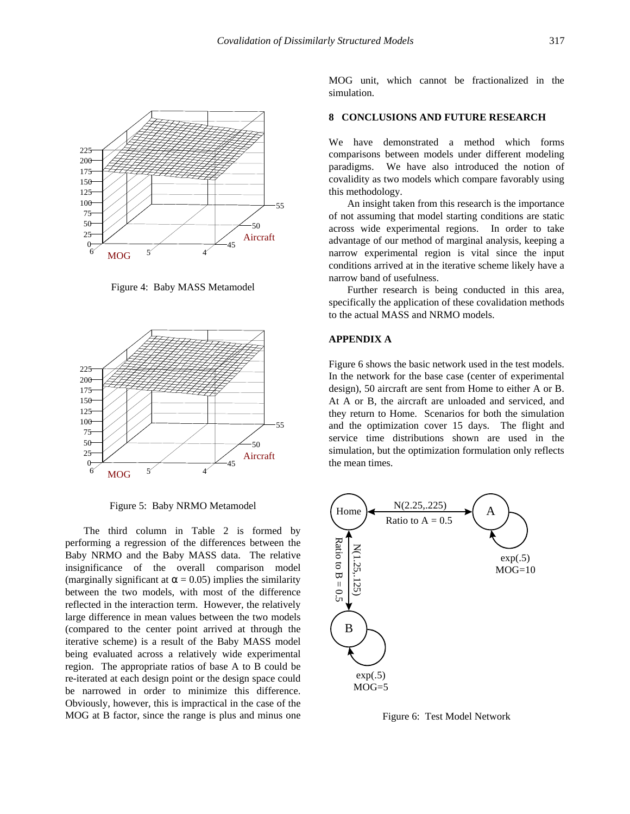

Figure 4: Baby MASS Metamodel



Figure 5: Baby NRMO Metamodel

The third column in Table 2 is formed by performing a regression of the differences between the Baby NRMO and the Baby MASS data. The relative insignificance of the overall comparison model (marginally significant at  $\alpha$  = 0.05) implies the similarity between the two models, with most of the difference reflected in the interaction term. However, the relatively large difference in mean values between the two models (compared to the center point arrived at through the iterative scheme) is a result of the Baby MASS model being evaluated across a relatively wide experimental region. The appropriate ratios of base A to B could be re-iterated at each design point or the design space could be narrowed in order to minimize this difference. Obviously, however, this is impractical in the case of the MOG at B factor, since the range is plus and minus one

MOG unit, which cannot be fractionalized in the simulation.

# **8 CONCLUSIONS AND FUTURE RESEARCH**

We have demonstrated a method which forms comparisons between models under different modeling paradigms. We have also introduced the notion of covalidity as two models which compare favorably using this methodology.

An insight taken from this research is the importance of not assuming that model starting conditions are static across wide experimental regions. In order to take advantage of our method of marginal analysis, keeping a narrow experimental region is vital since the input conditions arrived at in the iterative scheme likely have a narrow band of usefulness.

Further research is being conducted in this area, specifically the application of these covalidation methods to the actual MASS and NRMO models.

# **APPENDIX A**

Figure 6 shows the basic network used in the test models. In the network for the base case (center of experimental design), 50 aircraft are sent from Home to either A or B. At A or B, the aircraft are unloaded and serviced, and they return to Home. Scenarios for both the simulation and the optimization cover 15 days. The flight and service time distributions shown are used in the simulation, but the optimization formulation only reflects the mean times.



Figure 6: Test Model Network